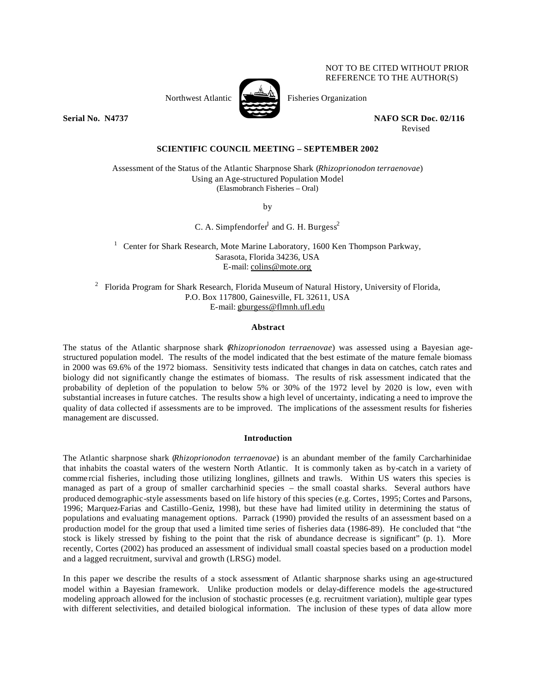

NOT TO BE CITED WITHOUT PRIOR REFERENCE TO THE AUTHOR(S)

Northwest Atlantic  $\sum_{n=1}^{\infty}$  Fisheries Organization

**Serial No. 201737 NAFO SCR Doc. 02/116** Revised

**SCIENTIFIC COUNCIL MEETING – SEPTEMBER 2002**

Assessment of the Status of the Atlantic Sharpnose Shark (*Rhizoprionodon terraenovae*) Using an Age-structured Population Model (Elasmobranch Fisheries – Oral)

by

C. A. Simpfendorfer<sup>1</sup> and G. H. Burgess<sup>2</sup>

<sup>1</sup> Center for Shark Research, Mote Marine Laboratory, 1600 Ken Thompson Parkway, Sarasota, Florida 34236, USA E-mail: colins@mote.org

 $2$  Florida Program for Shark Research, Florida Museum of Natural History, University of Florida, P.O. Box 117800, Gainesville, FL 32611, USA E-mail: gburgess@flmnh.ufl.edu

# **Abstract**

The status of the Atlantic sharpnose shark (*Rhizoprionodon terraenovae*) was assessed using a Bayesian agestructured population model. The results of the model indicated that the best estimate of the mature female biomass in 2000 was 69.6% of the 1972 biomass. Sensitivity tests indicated that changes in data on catches, catch rates and biology did not significantly change the estimates of biomass. The results of risk assessment indicated that the probability of depletion of the population to below 5% or 30% of the 1972 level by 2020 is low, even with substantial increases in future catches. The results show a high level of uncertainty, indicating a need to improve the quality of data collected if assessments are to be improved. The implications of the assessment results for fisheries management are discussed.

# **Introduction**

The Atlantic sharpnose shark (*Rhizoprionodon terraenovae*) is an abundant member of the family Carcharhinidae that inhabits the coastal waters of the western North Atlantic. It is commonly taken as by-catch in a variety of comme rcial fisheries, including those utilizing longlines, gillnets and trawls. Within US waters this species is managed as part of a group of smaller carcharhinid species – the small coastal sharks. Several authors have produced demographic-style assessments based on life history of this species (e.g. Cortes, 1995; Cortes and Parsons, 1996; Marquez-Farias and Castillo-Geniz, 1998), but these have had limited utility in determining the status of populations and evaluating management options. Parrack (1990) provided the results of an assessment based on a production model for the group that used a limited time series of fisheries data (1986-89). He concluded that "the stock is likely stressed by fishing to the point that the risk of abundance decrease is significant" (p. 1). More recently, Cortes (2002) has produced an assessment of individual small coastal species based on a production model and a lagged recruitment, survival and growth (LRSG) model.

In this paper we describe the results of a stock assessment of Atlantic sharpnose sharks using an age-structured model within a Bayesian framework. Unlike production models or delay-difference models the age-structured modeling approach allowed for the inclusion of stochastic processes (e.g. recruitment variation), multiple gear types with different selectivities, and detailed biological information. The inclusion of these types of data allow more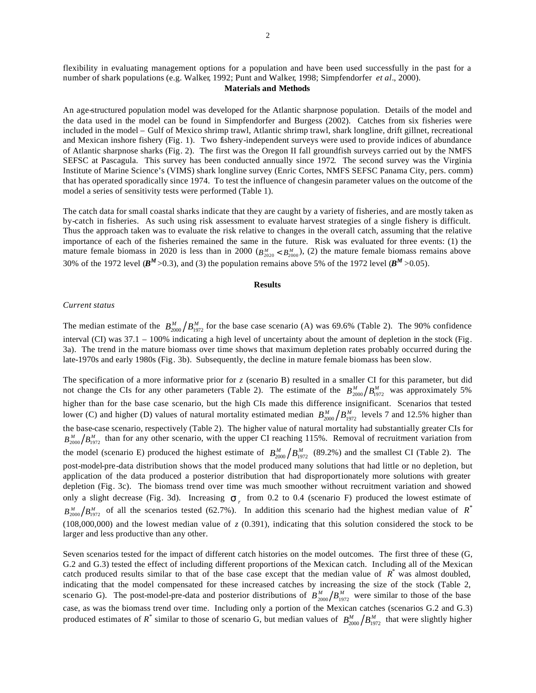flexibility in evaluating management options for a population and have been used successfully in the past for a number of shark populations (e.g. Walker, 1992; Punt and Walker, 1998; Simpfendorfer *et al*., 2000).

## **Materials and Methods**

An age-structured population model was developed for the Atlantic sharpnose population. Details of the model and the data used in the model can be found in Simpfendorfer and Burgess (2002). Catches from six fisheries were included in the model – Gulf of Mexico shrimp trawl, Atlantic shrimp trawl, shark longline, drift gillnet, recreational and Mexican inshore fishery (Fig. 1). Two fishery-independent surveys were used to provide indices of abundance of Atlantic sharpnose sharks (Fig. 2). The first was the Oregon II fall groundfish surveys carried out by the NMFS SEFSC at Pascagula. This survey has been conducted annually since 1972. The second survey was the Virginia Institute of Marine Science's (VIMS) shark longline survey (Enric Cortes, NMFS SEFSC Panama City, pers. comm) that has operated sporadically since 1974. To test the influence of changesin parameter values on the outcome of the model a series of sensitivity tests were performed (Table 1).

The catch data for small coastal sharks indicate that they are caught by a variety of fisheries, and are mostly taken as by-catch in fisheries. As such using risk assessment to evaluate harvest strategies of a single fishery is difficult. Thus the approach taken was to evaluate the risk relative to changes in the overall catch, assuming that the relative importance of each of the fisheries remained the same in the future. Risk was evaluated for three events: (1) the mature female biomass in 2020 is less than in 2000  $(B_{2020}^M < B_{2000}^M)$ , (2) the mature female biomass remains above 30% of the 1972 level ( $B^M$  >0.3), and (3) the population remains above 5% of the 1972 level ( $B^M$  >0.05).

### **Results**

#### *Current status*

The median estimate of the  $B_{2000}^M/B_{1972}^M$  for the base case scenario (A) was 69.6% (Table 2). The 90% confidence interval (CI) was 37.1 – 100% indicating a high level of uncertainty about the amount of depletion in the stock (Fig. 3a). The trend in the mature biomass over time shows that maximum depletion rates probably occurred during the late-1970s and early 1980s (Fig. 3b). Subsequently, the decline in mature female biomass has been slow.

The specification of a more informative prior for *z* (scenario B) resulted in a smaller CI for this parameter, but did not change the CIs for any other parameters (Table 2). The estimate of the  $B_{2000}^M/B_{1972}^M$  was approximately 5% higher than for the base case scenario, but the high CIs made this difference insignificant. Scenarios that tested lower (C) and higher (D) values of natural mortality estimated median  $B_{2000}^M/B_{1972}^M$  levels 7 and 12.5% higher than the base-case scenario, respectively (Table 2). The higher value of natural mortality had substantially greater CIs for  $B_{2000}^M/B_{1972}^M$  than for any other scenario, with the upper CI reaching 115%. Removal of recruitment variation from the model (scenario E) produced the highest estimate of  $B_{2000}^M/B_{1972}^M$  (89.2%) and the smallest CI (Table 2). The post-model-pre-data distribution shows that the model produced many solutions that had little or no depletion, but application of the data produced a posterior distribution that had disproportionately more solutions with greater depletion (Fig. 3c). The biomass trend over time was much smoother without recruitment variation and showed only a slight decrease (Fig. 3d). Increasing  $s_r$  from 0.2 to 0.4 (scenario F) produced the lowest estimate of  $B_{2000}^M/B_{1972}^M$  of all the scenarios tested (62.7%). In addition this scenario had the highest median value of *R*<sup>\*</sup> (108,000,000) and the lowest median value of  $z$  (0.391), indicating that this solution considered the stock to be larger and less productive than any other.

Seven scenarios tested for the impact of different catch histories on the model outcomes. The first three of these (G, G.2 and G.3) tested the effect of including different proportions of the Mexican catch. Including all of the Mexican catch produced results similar to that of the base case except that the median value of  $R^*$  was almost doubled, indicating that the model compensated for these increased catches by increasing the size of the stock (Table 2, scenario G). The post-model-pre-data and posterior distributions of  $B_{2000}^M/B_{1972}^M$  were similar to those of the base case, as was the biomass trend over time. Including only a portion of the Mexican catches (scenarios G.2 and G.3) produced estimates of  $R^*$  similar to those of scenario G, but median values of  $B_{2000}^M/B_{1972}^M$  that were slightly higher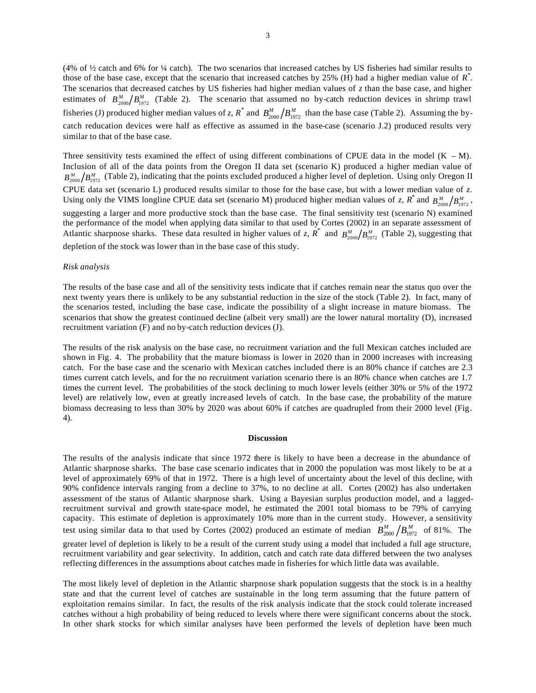(4% of ½ catch and 6% for ¼ catch). The two scenarios that increased catches by US fisheries had similar results to those of the base case, except that the scenario that increased catches by 25% (H) had a higher median value of *R \** . The scenarios that decreased catches by US fisheries had higher median values of *z* than the base case, and higher estimates of  $B_{2000}^M/B_{1972}^M$  (Table 2). The scenario that assumed no by-catch reduction devices in shrimp trawl fisheries (J) produced higher median values of *z*,  $R^*$  and  $B_{2000}^M/B_{1972}^M$  than the base case (Table 2). Assuming the bycatch reducation devices were half as effective as assumed in the base-case (scenario J.2) produced results very similar to that of the base case.

Three sensitivity tests examined the effect of using different combinations of CPUE data in the model  $(K - M)$ . Inclusion of all of the data points from the Oregon II data set (scenario K) produced a higher median value of  $B_{2000}^M/B_{1972}^M$  (Table 2), indicating that the points excluded produced a higher level of depletion. Using only Oregon II CPUE data set (scenario L) produced results similar to those for the base case, but with a lower median value of *z*. Using only the VIMS longline CPUE data set (scenario M) produced higher median values of *z*,  $R^*$  and  $B_{2000}^M/B_{1972}^M$ , suggesting a larger and more productive stock than the base case. The final sensitivity test (scenario N) examined the performance of the model when applying data similar to that used by Cortes (2002) in an separate assessment of Atlantic sharpnose sharks. These data resulted in higher values of *z*,  $\overline{R}^*$  and  $B_{2000}^M/B_{1972}^M$  (Table 2), suggesting that depletion of the stock was lower than in the base case of this study.

#### *Risk analysis*

The results of the base case and all of the sensitivity tests indicate that if catches remain near the status quo over the next twenty years there is unlikely to be any substantial reduction in the size of the stock (Table 2). In fact, many of the scenarios tested, including the base case, indicate the possibility of a slight increase in mature biomass. The scenarios that show the greatest continued decline (albeit very small) are the lower natural mortality (D), increased recruitment variation (F) and no by-catch reduction devices (J).

The results of the risk analysis on the base case, no recruitment variation and the full Mexican catches included are shown in Fig. 4. The probability that the mature biomass is lower in 2020 than in 2000 increases with increasing catch. For the base case and the scenario with Mexican catches included there is an 80% chance if catches are 2.3 times current catch levels, and for the no recruitment variation scenario there is an 80% chance when catches are 1.7 times the current level. The probabilities of the stock declining to much lower levels (either 30% or 5% of the 1972 level) are relatively low, even at greatly increased levels of catch. In the base case, the probability of the mature biomass decreasing to less than 30% by 2020 was about 60% if catches are quadrupled from their 2000 level (Fig. 4).

### **Discussion**

The results of the analysis indicate that since 1972 there is likely to have been a decrease in the abundance of Atlantic sharpnose sharks. The base case scenario indicates that in 2000 the population was most likely to be at a level of approximately 69% of that in 1972. There is a high level of uncertainty about the level of this decline, with 90% confidence intervals ranging from a decline to 37%, to no decline at all. Cortes (2002) has also undertaken assessment of the status of Atlantic sharpnose shark. Using a Bayesian surplus production model, and a laggedrecruitment survival and growth state-space model, he estimated the 2001 total biomass to be 79% of carrying capacity. This estimate of depletion is approximately 10% more than in the current study. However, a sensitivity test using similar data to that used by Cortes (2002) produced an estimate of median  $B_{2000}^M/B_{1972}^M$  of 81%. The greater level of depletion is likely to be a result of the current study using a model that included a full age structure, recruitment variability and gear selectivity. In addition, catch and catch rate data differed between the two analyses reflecting differences in the assumptions about catches made in fisheries for which little data was available.

The most likely level of depletion in the Atlantic sharpnose shark population suggests that the stock is in a healthy state and that the current level of catches are sustainable in the long term assuming that the future pattern of exploitation remains similar. In fact, the results of the risk analysis indicate that the stock could tolerate increased catches without a high probability of being reduced to levels where there were significant concerns about the stock. In other shark stocks for which similar analyses have been performed the levels of depletion have been much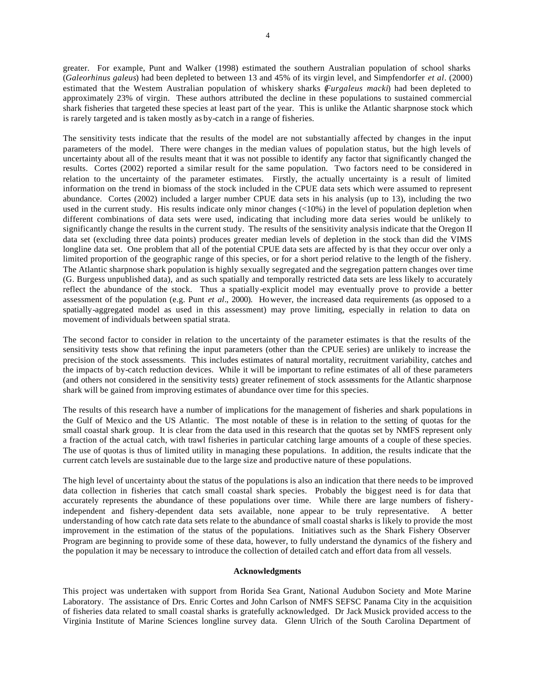greater. For example, Punt and Walker (1998) estimated the southern Australian population of school sharks (*Galeorhinus galeus*) had been depleted to between 13 and 45% of its virgin level, and Simpfendorfer *et al*. (2000) estimated that the Western Australian population of whiskery sharks (*Furgaleus macki*) had been depleted to approximately 23% of virgin. These authors attributed the decline in these populations to sustained commercial shark fisheries that targeted these species at least part of the year. This is unlike the Atlantic sharpnose stock which is rarely targeted and is taken mostly as by-catch in a range of fisheries.

The sensitivity tests indicate that the results of the model are not substantially affected by changes in the input parameters of the model. There were changes in the median values of population status, but the high levels of uncertainty about all of the results meant that it was not possible to identify any factor that significantly changed the results. Cortes (2002) reported a similar result for the same population. Two factors need to be considered in relation to the uncertainty of the parameter estimates. Firstly, the actually uncertainty is a result of limited information on the trend in biomass of the stock included in the CPUE data sets which were assumed to represent abundance. Cortes (2002) included a larger number CPUE data sets in his analysis (up to 13), including the two used in the current study. His results indicate only minor changes (<10%) in the level of population depletion when different combinations of data sets were used, indicating that including more data series would be unlikely to significantly change the results in the current study. The results of the sensitivity analysis indicate that the Oregon II data set (excluding three data points) produces greater median levels of depletion in the stock than did the VIMS longline data set. One problem that all of the potential CPUE data sets are affected by is that they occur over only a limited proportion of the geographic range of this species, or for a short period relative to the length of the fishery. The Atlantic sharpnose shark population is highly sexually segregated and the segregation pattern changes over time (G. Burgess unpublished data), and as such spatially and temporally restricted data sets are less likely to accurately reflect the abundance of the stock. Thus a spatially-explicit model may eventually prove to provide a better assessment of the population (e.g. Punt *et al*., 2000). However, the increased data requirements (as opposed to a spatially-aggregated model as used in this assessment) may prove limiting, especially in relation to data on movement of individuals between spatial strata.

The second factor to consider in relation to the uncertainty of the parameter estimates is that the results of the sensitivity tests show that refining the input parameters (other than the CPUE series) are unlikely to increase the precision of the stock assessments. This includes estimates of natural mortality, recruitment variability, catches and the impacts of by-catch reduction devices. While it will be important to refine estimates of all of these parameters (and others not considered in the sensitivity tests) greater refinement of stock assessments for the Atlantic sharpnose shark will be gained from improving estimates of abundance over time for this species.

The results of this research have a number of implications for the management of fisheries and shark populations in the Gulf of Mexico and the US Atlantic. The most notable of these is in relation to the setting of quotas for the small coastal shark group. It is clear from the data used in this research that the quotas set by NMFS represent only a fraction of the actual catch, with trawl fisheries in particular catching large amounts of a couple of these species. The use of quotas is thus of limited utility in managing these populations. In addition, the results indicate that the current catch levels are sustainable due to the large size and productive nature of these populations.

The high level of uncertainty about the status of the populations is also an indication that there needs to be improved data collection in fisheries that catch small coastal shark species. Probably the biggest need is for data that accurately represents the abundance of these populations over time. While there are large numbers of fisheryindependent and fishery-dependent data sets available, none appear to be truly representative. A better understanding of how catch rate data sets relate to the abundance of small coastal sharks is likely to provide the most improvement in the estimation of the status of the populations. Initiatives such as the Shark Fishery Observer Program are beginning to provide some of these data, however, to fully understand the dynamics of the fishery and the population it may be necessary to introduce the collection of detailed catch and effort data from all vessels.

## **Acknowledgments**

This project was undertaken with support from Florida Sea Grant, National Audubon Society and Mote Marine Laboratory. The assistance of Drs. Enric Cortes and John Carlson of NMFS SEFSC Panama City in the acquisition of fisheries data related to small coastal sharks is gratefully acknowledged. Dr Jack Musick provided access to the Virginia Institute of Marine Sciences longline survey data. Glenn Ulrich of the South Carolina Department of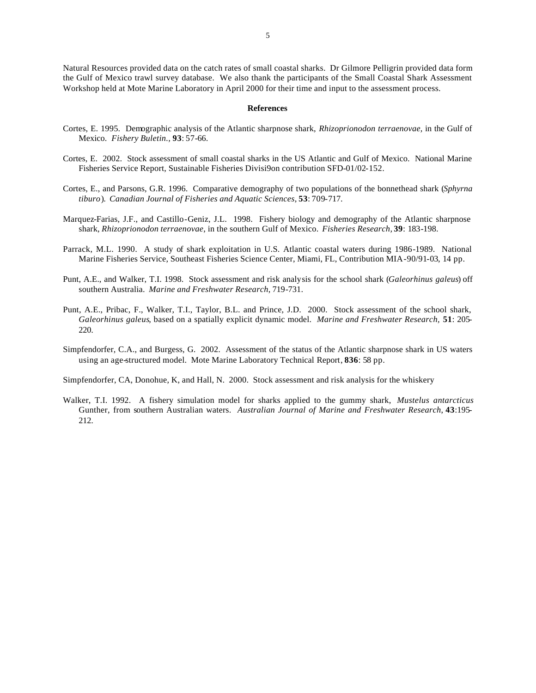Natural Resources provided data on the catch rates of small coastal sharks. Dr Gilmore Pelligrin provided data form the Gulf of Mexico trawl survey database. We also thank the participants of the Small Coastal Shark Assessment Workshop held at Mote Marine Laboratory in April 2000 for their time and input to the assessment process.

#### **References**

- Cortes, E. 1995. Demographic analysis of the Atlantic sharpnose shark, *Rhizoprionodon terraenovae,* in the Gulf of Mexico. *Fishery Buletin.,* **93**: 57-66.
- Cortes, E. 2002. Stock assessment of small coastal sharks in the US Atlantic and Gulf of Mexico. National Marine Fisheries Service Report, Sustainable Fisheries Divisi9on contribution SFD-01/02-152.
- Cortes, E., and Parsons, G.R. 1996. Comparative demography of two populations of the bonnethead shark (*Sphyrna tiburo*). *Canadian Journal of Fisheries and Aquatic Sciences*, **53**: 709-717.
- Marquez-Farias, J.F., and Castillo-Geniz, J.L. 1998. Fishery biology and demography of the Atlantic sharpnose shark, *Rhizoprionodon terraenovae*, in the southern Gulf of Mexico. *Fisheries Research,* **39**: 183-198.
- Parrack, M.L. 1990. A study of shark exploitation in U.S. Atlantic coastal waters during 1986-1989. National Marine Fisheries Service, Southeast Fisheries Science Center, Miami, FL, Contribution MIA-90/91-03, 14 pp.
- Punt, A.E., and Walker, T.I. 1998. Stock assessment and risk analysis for the school shark (*Galeorhinus galeus*) off southern Australia. *Marine and Freshwater Research*, 719-731.
- Punt, A.E., Pribac, F., Walker, T.I., Taylor, B.L. and Prince, J.D. 2000. Stock assessment of the school shark, *Galeorhinus galeus*, based on a spatially explicit dynamic model. *Marine and Freshwater Research,* **51**: 205- 220.
- Simpfendorfer, C.A., and Burgess, G. 2002. Assessment of the status of the Atlantic sharpnose shark in US waters using an age-structured model. Mote Marine Laboratory Technical Report, **836**: 58 pp.

Simpfendorfer, CA, Donohue, K, and Hall, N. 2000. Stock assessment and risk analysis for the whiskery

Walker, T.I. 1992. A fishery simulation model for sharks applied to the gummy shark, *Mustelus antarcticus* Gunther, from southern Australian waters. *Australian Journal of Marine and Freshwater Research*, **43**:195- 212.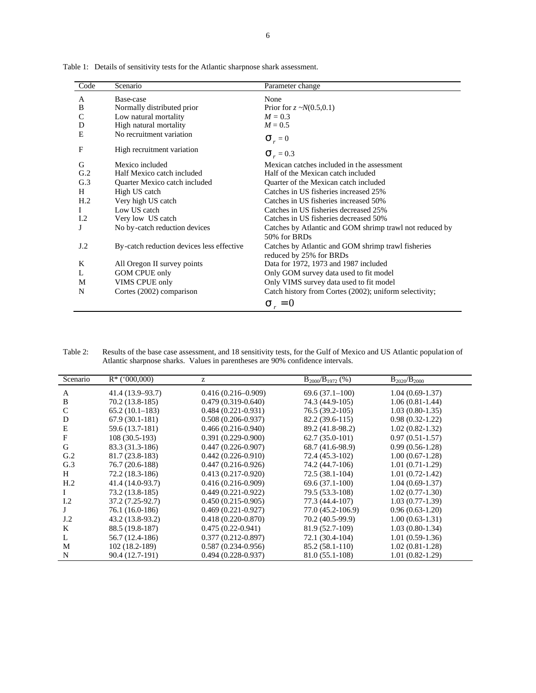| Code            | Scenario                                  | Parameter change                                                              |  |
|-----------------|-------------------------------------------|-------------------------------------------------------------------------------|--|
| A               | Base-case                                 | None                                                                          |  |
| B               | Normally distributed prior                | Prior for $z \sim N(0.5, 0.1)$                                                |  |
| $\mathsf{C}$    | Low natural mortality                     | $M = 0.3$                                                                     |  |
| D               | High natural mortality                    | $M = 0.5$                                                                     |  |
| E               | No recruitment variation                  | $\mathbf{S}_r = 0$                                                            |  |
| F               | High recruitment variation                | $S_r = 0.3$                                                                   |  |
| G               | Mexico included                           | Mexican catches included in the assessment                                    |  |
| G.2             | Half Mexico catch included                | Half of the Mexican catch included                                            |  |
| G.3             | Quarter Mexico catch included             | Quarter of the Mexican catch included                                         |  |
| H               | High US catch                             | Catches in US fisheries increased 25%                                         |  |
| H <sub>.2</sub> | Very high US catch                        | Catches in US fisheries increased 50%                                         |  |
| $\mathbf{I}$    | Low US catch                              | Catches in US fisheries decreased 25%                                         |  |
| I.2             | Very low US catch                         | Catches in US fisheries decreased 50%                                         |  |
| J               | No by-catch reduction devices             | Catches by Atlantic and GOM shrimp trawl not reduced by<br>50% for BRDs       |  |
| J.2             | By-catch reduction devices less effective | Catches by Atlantic and GOM shrimp trawl fisheries<br>reduced by 25% for BRDs |  |
| K               | All Oregon II survey points               | Data for 1972, 1973 and 1987 included                                         |  |
| L               | <b>GOM CPUE only</b>                      | Only GOM survey data used to fit model                                        |  |
| M               | VIMS CPUE only                            | Only VIMS survey data used to fit model                                       |  |
| N               | Cortes (2002) comparison                  | Catch history from Cortes (2002); uniform selectivity;                        |  |
|                 |                                           | $S_r = 0$                                                                     |  |

Table 1: Details of sensitivity tests for the Atlantic sharpnose shark assessment.

| Table 2: | Results of the base case assessment, and 18 sensitivity tests, for the Gulf of Mexico and US Atlantic population of |
|----------|---------------------------------------------------------------------------------------------------------------------|
|          | Atlantic sharphose sharks. Values in parentheses are 90% confidence intervals.                                      |

| Scenario        | $R^*$ ('000,000) | z                      | $B_{2000}/B_{1972}$ (%) | $B_{2020}/B_{2000}$ |
|-----------------|------------------|------------------------|-------------------------|---------------------|
| A               | 41.4 (13.9–93.7) | $0.416(0.216 - 0.909)$ | $69.6(37.1-100)$        | $1.04(0.69-1.37)$   |
| B               | 70.2 (13.8-185)  | $0.479(0.319 - 0.640)$ | 74.3 (44.9-105)         | $1.06(0.81-1.44)$   |
| $\mathcal{C}$   | $65.2(10.1-183)$ | $0.484(0.221-0.931)$   | 76.5 (39.2-105)         | $1.03(0.80-1.35)$   |
| D               | $67.9(30.1-181)$ | $0.508(0.206 - 0.937)$ | 82.2 (39.6-115)         | $0.98(0.32-1.22)$   |
| E               | 59.6 (13.7-181)  | $0.466(0.216-0.940)$   | 89.2 (41.8-98.2)        | $1.02(0.82 - 1.32)$ |
| F               | 108 (30.5-193)   | $0.391(0.229-0.900)$   | $62.7(35.0-101)$        | $0.97(0.51-1.57)$   |
| G               | 83.3 (31.3-186)  | $0.447(0.226 - 0.907)$ | 68.7 (41.6-98.9)        | $0.99(0.56-1.28)$   |
| G.2             | 81.7 (23.8-183)  | $0.442(0.226-0.910)$   | 72.4 (45.3-102)         | $1.00(0.67-1.28)$   |
| G.3             | 76.7 (20.6-188)  | $0.447(0.216 - 0.926)$ | 74.2 (44.7-106)         | $1.01(0.71-1.29)$   |
| H               | 72.2 (18.3-186)  | $0.413(0.217-0.920)$   | $72.5(38.1-104)$        | $1.01(0.72-1.42)$   |
| H <sub>.2</sub> | 41.4 (14.0-93.7) | $0.416(0.216-0.909)$   | $69.6(37.1-100)$        | $1.04(0.69-1.37)$   |
|                 | 73.2 (13.8-185)  | $0.449(0.221-0.922)$   | 79.5 (53.3-108)         | $1.02(0.77-1.30)$   |
| 1.2             | 37.2 (7.25-92.7) | $0.450(0.215-0.905)$   | 77.3 (44.4-107)         | $1.03(0.77-1.39)$   |
|                 | 76.1 (16.0-186)  | $0.469(0.221-0.927)$   | 77.0 (45.2-106.9)       | $0.96(0.63-1.20)$   |
| J.2             | 43.2 (13.8-93.2) | $0.418(0.220-0.870)$   | 70.2 (40.5-99.9)        | $1.00(0.63-1.31)$   |
| K               | 88.5 (19.8-187)  | $0.475(0.22-0.941)$    | 81.9 (52.7-109)         | $1.03(0.80-1.34)$   |
| L               | 56.7 (12.4-186)  | $0.377(0.212 - 0.897)$ | 72.1 (30.4-104)         | $1.01(0.59-1.36)$   |
| M               | 102 (18.2-189)   | $0.587(0.234 - 0.956)$ | 85.2 (58.1-110)         | $1.02(0.81-1.28)$   |
| N               | 90.4 (12.7-191)  | $0.494(0.228-0.937)$   | 81.0 (55.1-108)         | $1.01(0.82-1.29)$   |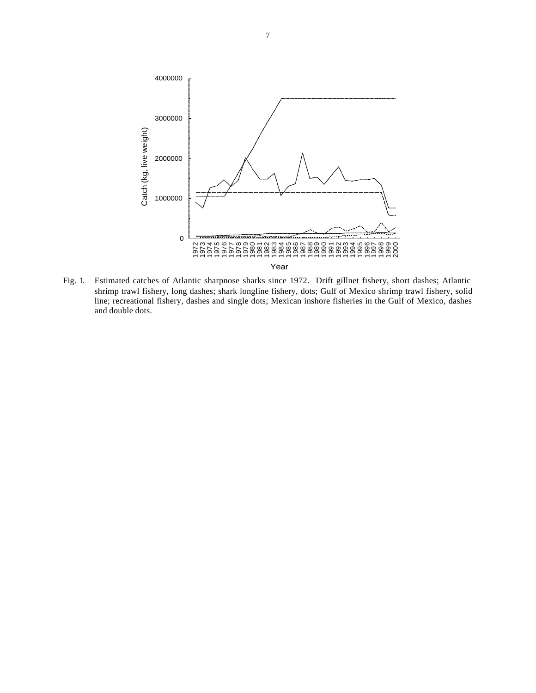

Fig. 1. Estimated catches of Atlantic sharpnose sharks since 1972. Drift gillnet fishery, short dashes; Atlantic shrimp trawl fishery, long dashes; shark longline fishery, dots; Gulf of Mexico shrimp trawl fishery, solid line; recreational fishery, dashes and single dots; Mexican inshore fisheries in the Gulf of Mexico, dashes and double dots.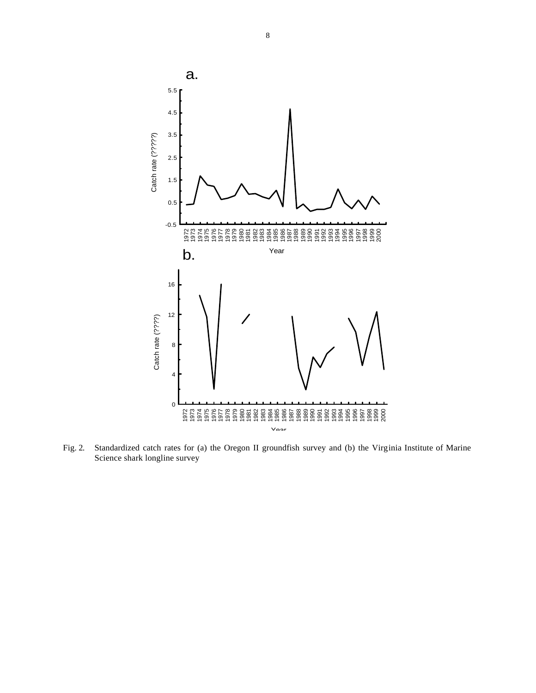

Fig. 2. Standardized catch rates for (a) the Oregon II groundfish survey and (b) the Virginia Institute of Marine Science shark longline survey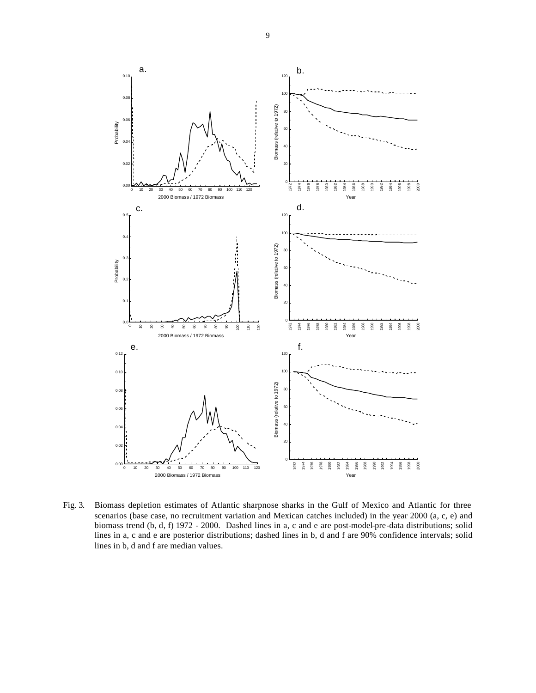

Fig. 3. Biomass depletion estimates of Atlantic sharpnose sharks in the Gulf of Mexico and Atlantic for three scenarios (base case, no recruitment variation and Mexican catches included) in the year 2000 (a, c, e) and biomass trend (b, d, f) 1972 - 2000. Dashed lines in a, c and e are post-model-pre-data distributions; solid lines in a, c and e are posterior distributions; dashed lines in b, d and f are 90% confidence intervals; solid lines in b, d and f are median values.